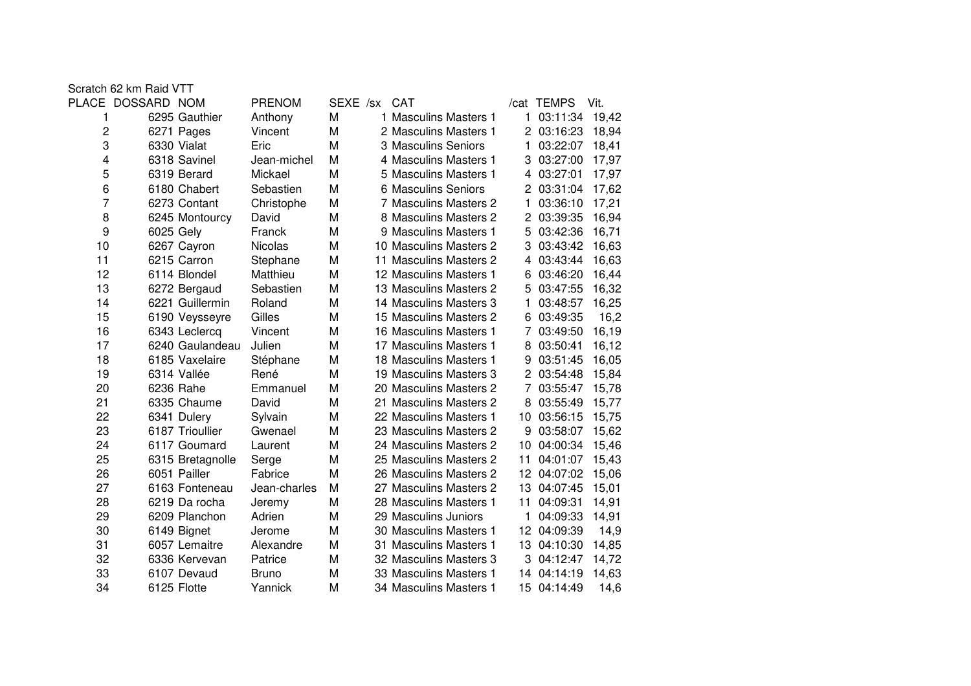| Scratch 62 km Raid VTT |                  |                |              |                        |    |            |       |
|------------------------|------------------|----------------|--------------|------------------------|----|------------|-------|
| PLACE DOSSARD NOM      |                  | <b>PRENOM</b>  | SEXE /sx CAT |                        |    | /cat TEMPS | Vit.  |
| 1                      | 6295 Gauthier    | Anthony        | M            | 1 Masculins Masters 1  | 1. | 03:11:34   | 19,42 |
| 2                      | 6271 Pages       | Vincent        | M            | 2 Masculins Masters 1  |    | 2 03:16:23 | 18,94 |
| 3                      | 6330 Vialat      | Eric           | M            | 3 Masculins Seniors    | 1  | 03:22:07   | 18,41 |
| 4                      | 6318 Savinel     | Jean-michel    | M            | 4 Masculins Masters 1  | З  | 03:27:00   | 17,97 |
| 5                      | 6319 Berard      | Mickael        | M            | 5 Masculins Masters 1  | 4  | 03:27:01   | 17,97 |
| 6                      | 6180 Chabert     | Sebastien      | M            | 6 Masculins Seniors    | 2  | 03:31:04   | 17,62 |
| 7                      | 6273 Contant     | Christophe     | M            | 7 Masculins Masters 2  | 1  | 03:36:10   | 17,21 |
| 8                      | 6245 Montourcy   | David          | M            | 8 Masculins Masters 2  | 2  | 03:39:35   | 16,94 |
| 9                      | 6025 Gely        | Franck         | M            | 9 Masculins Masters 1  | 5  | 03:42:36   | 16,71 |
| 10                     | 6267 Cayron      | <b>Nicolas</b> | M            | 10 Masculins Masters 2 | 3  | 03:43:42   | 16,63 |
| 11                     | 6215 Carron      | Stephane       | M            | 11 Masculins Masters 2 | 4  | 03:43:44   | 16,63 |
| 12                     | 6114 Blondel     | Matthieu       | M            | 12 Masculins Masters 1 | 6  | 03:46:20   | 16,44 |
| 13                     | 6272 Bergaud     | Sebastien      | M            | 13 Masculins Masters 2 | 5  | 03:47:55   | 16,32 |
| 14                     | 6221 Guillermin  | Roland         | M            | 14 Masculins Masters 3 | 1  | 03:48:57   | 16,25 |
| 15                     | 6190 Veysseyre   | Gilles         | M            | 15 Masculins Masters 2 | 6  | 03:49:35   | 16,2  |
| 16                     | 6343 Leclercq    | Vincent        | M            | 16 Masculins Masters 1 | 7  | 03:49:50   | 16,19 |
| 17                     | 6240 Gaulandeau  | Julien         | M            | 17 Masculins Masters 1 | 8  | 03:50:41   | 16,12 |
| 18                     | 6185 Vaxelaire   | Stéphane       | M            | 18 Masculins Masters 1 | 9  | 03:51:45   | 16,05 |
| 19                     | 6314 Vallée      | René           | M            | 19 Masculins Masters 3 |    | 03:54:48   | 15,84 |
| 20                     | 6236 Rahe        | Emmanuel       | M            | 20 Masculins Masters 2 | 7  | 03:55:47   | 15,78 |
| 21                     | 6335 Chaume      | David          | M            | 21 Masculins Masters 2 | 8  | 03:55:49   | 15,77 |
| 22                     | 6341 Dulery      | Sylvain        | M            | 22 Masculins Masters 1 | 10 | 03:56:15   | 15,75 |
| 23                     | 6187 Trioullier  | Gwenael        | M            | 23 Masculins Masters 2 | 9  | 03:58:07   | 15,62 |
| 24                     | 6117 Goumard     | Laurent        | M            | 24 Masculins Masters 2 | 10 | 04:00:34   | 15,46 |
| 25                     | 6315 Bretagnolle | Serge          | M            | 25 Masculins Masters 2 | 11 | 04:01:07   | 15,43 |
| 26                     | 6051 Pailler     | Fabrice        | M            | 26 Masculins Masters 2 | 12 | 04:07:02   | 15,06 |
| 27                     | 6163 Fonteneau   | Jean-charles   | M            | 27 Masculins Masters 2 | 13 | 04:07:45   | 15,01 |
| 28                     | 6219 Da rocha    | Jeremy         | M            | 28 Masculins Masters 1 | 11 | 04:09:31   | 14,91 |
| 29                     | 6209 Planchon    | Adrien         | M            | 29 Masculins Juniors   | 1  | 04:09:33   | 14,91 |
| 30                     | 6149 Bignet      | Jerome         | M            | 30 Masculins Masters 1 | 12 | 04:09:39   | 14,9  |
| 31                     | 6057 Lemaitre    | Alexandre      | M            | 31 Masculins Masters 1 | 13 | 04:10:30   | 14,85 |
| 32                     | 6336 Kervevan    | Patrice        | M            | 32 Masculins Masters 3 | 3  | 04:12:47   | 14,72 |
| 33                     | 6107 Devaud      | <b>Bruno</b>   | M            | 33 Masculins Masters 1 | 14 | 04:14:19   | 14,63 |
| 34                     | 6125 Flotte      | Yannick        | М            | 34 Masculins Masters 1 | 15 | 04:14:49   | 14,6  |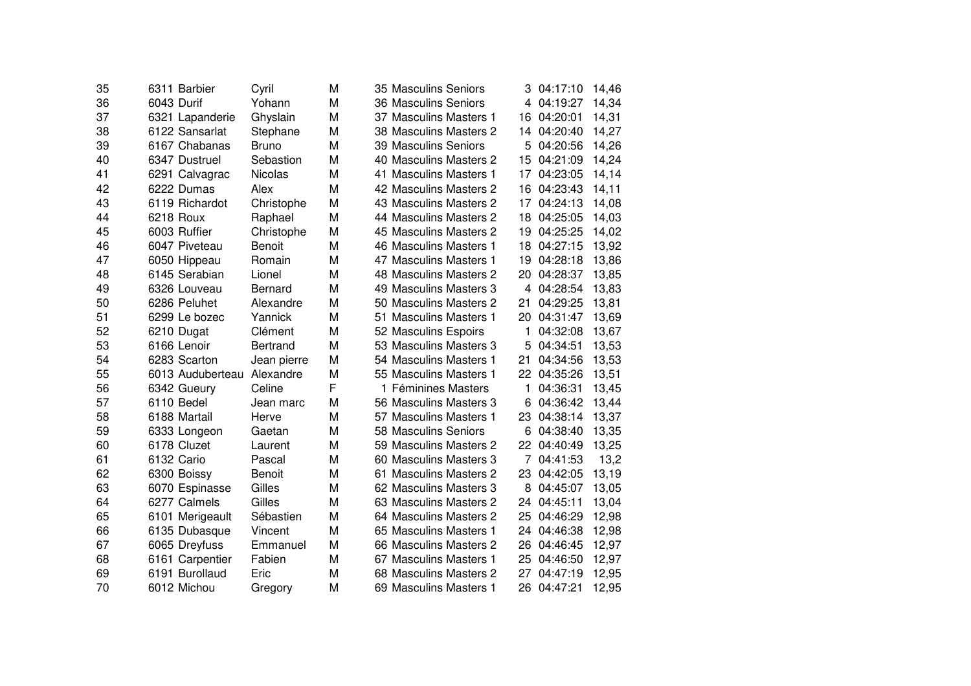| 35 | 6311 Barbier     | Cyril           | м | 35 Masculins Seniors<br>3.    | 04:17:10      | 14,46 |
|----|------------------|-----------------|---|-------------------------------|---------------|-------|
| 36 | 6043 Durif       | Yohann          | M | 36 Masculins Seniors          | 04:19:27<br>4 | 14,34 |
| 37 | 6321 Lapanderie  | Ghyslain        | M | 37 Masculins Masters 1<br>16  | 04:20:01      | 14,31 |
| 38 | 6122 Sansarlat   | Stephane        | M | 38 Masculins Masters 2<br>14. | 04:20:40      | 14,27 |
| 39 | 6167 Chabanas    | <b>Bruno</b>    | M | 39 Masculins Seniors<br>5.    | 04:20:56      | 14,26 |
| 40 | 6347 Dustruel    | Sebastion       | M | 40 Masculins Masters 2<br>15  | 04:21:09      | 14,24 |
| 41 | 6291 Calvagrac   | <b>Nicolas</b>  | M | 41 Masculins Masters 1<br>17  | 04:23:05      | 14,14 |
| 42 | 6222 Dumas       | Alex            | M | 42 Masculins Masters 2<br>16  | 04:23:43      | 14,11 |
| 43 | 6119 Richardot   | Christophe      | M | 43 Masculins Masters 2<br>17  | 04:24:13      | 14,08 |
| 44 | 6218 Roux        | Raphael         | M | 44 Masculins Masters 2<br>18  | 04:25:05      | 14,03 |
| 45 | 6003 Ruffier     | Christophe      | M | 45 Masculins Masters 2<br>19  | 04:25:25      | 14,02 |
| 46 | 6047 Piveteau    | <b>Benoit</b>   | M | 46 Masculins Masters 1<br>18  | 04:27:15      | 13,92 |
| 47 | 6050 Hippeau     | Romain          | M | 47 Masculins Masters 1<br>19  | 04:28:18      | 13,86 |
| 48 | 6145 Serabian    | Lionel          | M | 48 Masculins Masters 2<br>20  | 04:28:37      | 13,85 |
| 49 | 6326 Louveau     | Bernard         | M | 49 Masculins Masters 3        | 04:28:54<br>4 | 13,83 |
| 50 | 6286 Peluhet     | Alexandre       | M | 50 Masculins Masters 2<br>21  | 04:29:25      | 13,81 |
| 51 | 6299 Le bozec    | Yannick         | M | 51 Masculins Masters 1<br>20  | 04:31:47      | 13,69 |
| 52 | 6210 Dugat       | Clément         | M | 52 Masculins Espoirs<br>1     | 04:32:08      | 13,67 |
| 53 | 6166 Lenoir      | <b>Bertrand</b> | M | 53 Masculins Masters 3<br>5   | 04:34:51      | 13,53 |
| 54 | 6283 Scarton     | Jean pierre     | M | 54 Masculins Masters 1<br>21  | 04:34:56      | 13,53 |
| 55 | 6013 Auduberteau | Alexandre       | M | 55 Masculins Masters 1        | 22 04:35:26   | 13,51 |
| 56 | 6342 Gueury      | Celine          | F | 1 Féminines Masters<br>1      | 04:36:31      | 13,45 |
| 57 | 6110 Bedel       | Jean marc       | M | 56 Masculins Masters 3<br>6   | 04:36:42      | 13,44 |
| 58 | 6188 Martail     | Herve           | M | 57 Masculins Masters 1<br>23  | 04:38:14      | 13,37 |
| 59 | 6333 Longeon     | Gaetan          | M | 58 Masculins Seniors<br>6     | 04:38:40      | 13,35 |
| 60 | 6178 Cluzet      | Laurent         | M | 22<br>59 Masculins Masters 2  | 04:40:49      | 13,25 |
| 61 | 6132 Cario       | Pascal          | M | 60 Masculins Masters 3        | 04:41:53<br>7 | 13,2  |
| 62 | 6300 Boissy      | <b>Benoit</b>   | M | 61 Masculins Masters 2<br>23. | 04:42:05      | 13,19 |
| 63 | 6070 Espinasse   | Gilles          | M | 62 Masculins Masters 3        | 04:45:07<br>8 | 13,05 |
| 64 | 6277 Calmels     | Gilles          | M | 63 Masculins Masters 2        | 24 04:45:11   | 13,04 |
| 65 | 6101 Merigeault  | Sébastien       | M | 64 Masculins Masters 2<br>25  | 04:46:29      | 12,98 |
| 66 | 6135 Dubasque    | Vincent         | M | 65 Masculins Masters 1<br>24  | 04:46:38      | 12,98 |
| 67 | 6065 Dreyfuss    | Emmanuel        | M | 66 Masculins Masters 2<br>26  | 04:46:45      | 12,97 |
| 68 | 6161 Carpentier  | Fabien          | M | 67 Masculins Masters 1<br>25  | 04:46:50      | 12,97 |
| 69 | 6191 Burollaud   | Eric            | M | 68 Masculins Masters 2<br>27  | 04:47:19      | 12,95 |
| 70 | 6012 Michou      | Gregory         | M | 69 Masculins Masters 1        | 26 04:47:21   | 12,95 |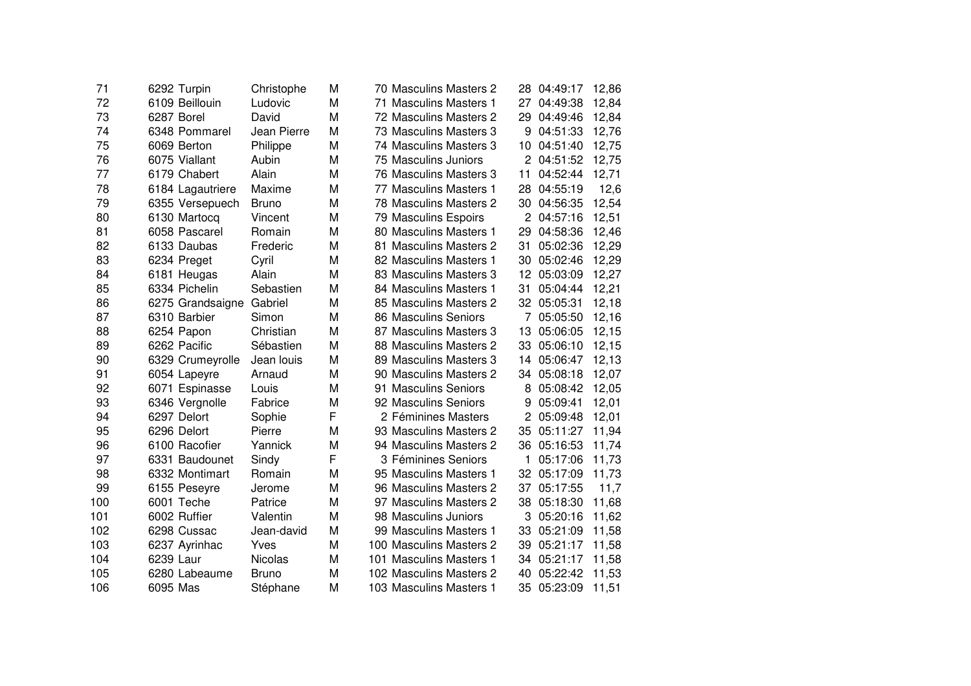| 71  | 6292 Turpin      | Christophe     | М | 70 Masculins Masters 2  | 28             | 04:49:17   | 12,86 |
|-----|------------------|----------------|---|-------------------------|----------------|------------|-------|
| 72  | 6109 Beillouin   | Ludovic        | M | 71 Masculins Masters 1  | 27             | 04:49:38   | 12,84 |
| 73  | 6287 Borel       | David          | M | 72 Masculins Masters 2  | 29             | 04:49:46   | 12,84 |
| 74  | 6348 Pommarel    | Jean Pierre    | M | 73 Masculins Masters 3  | 9              | 04:51:33   | 12,76 |
| 75  | 6069 Berton      | Philippe       | M | 74 Masculins Masters 3  | 10             | 04:51:40   | 12,75 |
| 76  | 6075 Viallant    | Aubin          | M | 75 Masculins Juniors    |                | 2 04:51:52 | 12,75 |
| 77  | 6179 Chabert     | Alain          | M | 76 Masculins Masters 3  | 11             | 04:52:44   | 12,71 |
| 78  | 6184 Lagautriere | Maxime         | M | 77 Masculins Masters 1  | 28             | 04:55:19   | 12,6  |
| 79  | 6355 Versepuech  | <b>Bruno</b>   | M | 78 Masculins Masters 2  | 30             | 04:56:35   | 12,54 |
| 80  | 6130 Martocq     | Vincent        | М | 79 Masculins Espoirs    | $\overline{2}$ | 04:57:16   | 12,51 |
| 81  | 6058 Pascarel    | Romain         | М | 80 Masculins Masters 1  | 29             | 04:58:36   | 12,46 |
| 82  | 6133 Daubas      | Frederic       | M | 81 Masculins Masters 2  | 31             | 05:02:36   | 12,29 |
| 83  | 6234 Preget      | Cyril          | M | 82 Masculins Masters 1  | 30             | 05:02:46   | 12,29 |
| 84  | 6181 Heugas      | Alain          | M | 83 Masculins Masters 3  | 12             | 05:03:09   | 12,27 |
| 85  | 6334 Pichelin    | Sebastien      | M | 84 Masculins Masters 1  | 31             | 05:04:44   | 12,21 |
| 86  | 6275 Grandsaigne | Gabriel        | M | 85 Masculins Masters 2  | 32             | 05:05:31   | 12,18 |
| 87  | 6310 Barbier     | Simon          | М | 86 Masculins Seniors    | 7              | 05:05:50   | 12,16 |
| 88  | 6254 Papon       | Christian      | M | 87 Masculins Masters 3  | 13             | 05:06:05   | 12,15 |
| 89  | 6262 Pacific     | Sébastien      | M | 88 Masculins Masters 2  | 33             | 05:06:10   | 12,15 |
| 90  | 6329 Crumeyrolle | Jean louis     | M | 89 Masculins Masters 3  | 14             | 05:06:47   | 12,13 |
| 91  | 6054 Lapeyre     | Arnaud         | M | 90 Masculins Masters 2  | 34             | 05:08:18   | 12,07 |
| 92  | 6071 Espinasse   | Louis          | M | 91 Masculins Seniors    | 8              | 05:08:42   | 12,05 |
| 93  | 6346 Vergnolle   | Fabrice        | M | 92 Masculins Seniors    | 9              | 05:09:41   | 12,01 |
| 94  | 6297 Delort      | Sophie         | F | 2 Féminines Masters     | 2              | 05:09:48   | 12,01 |
| 95  | 6296 Delort      | Pierre         | M | 93 Masculins Masters 2  | 35             | 05:11:27   | 11,94 |
| 96  | 6100 Racofier    | Yannick        | M | 94 Masculins Masters 2  | 36             | 05:16:53   | 11,74 |
| 97  | 6331 Baudounet   | Sindy          | F | 3 Féminines Seniors     | 1              | 05:17:06   | 11,73 |
| 98  | 6332 Montimart   | Romain         | M | 95 Masculins Masters 1  | 32             | 05:17:09   | 11,73 |
| 99  | 6155 Peseyre     | Jerome         | M | 96 Masculins Masters 2  | 37             | 05:17:55   | 11,7  |
| 100 | 6001 Teche       | Patrice        | M | 97 Masculins Masters 2  | 38             | 05:18:30   | 11,68 |
| 101 | 6002 Ruffier     | Valentin       | M | 98 Masculins Juniors    | 3              | 05:20:16   | 11,62 |
| 102 | 6298 Cussac      | Jean-david     | M | 99 Masculins Masters 1  | 33             | 05:21:09   | 11,58 |
| 103 | 6237 Ayrinhac    | Yves           | M | 100 Masculins Masters 2 | 39             | 05:21:17   | 11,58 |
| 104 | 6239 Laur        | <b>Nicolas</b> | M | 101 Masculins Masters 1 | 34             | 05:21:17   | 11,58 |
| 105 | 6280 Labeaume    | <b>Bruno</b>   | M | 102 Masculins Masters 2 | 40             | 05:22:42   | 11,53 |
| 106 | 6095 Mas         | Stéphane       | M | 103 Masculins Masters 1 | 35             | 05:23:09   | 11,51 |
|     |                  |                |   |                         |                |            |       |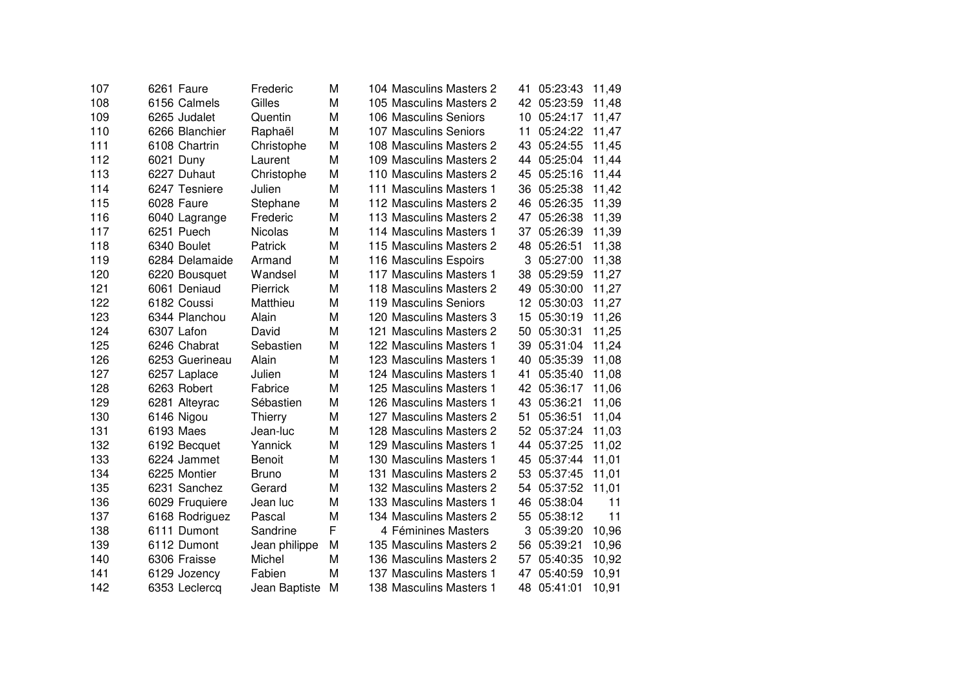| 107 | 6261 Faure     | Frederic        | М | 104 Masculins Masters 2 |     | 41 05:23:43 | 11,49 |
|-----|----------------|-----------------|---|-------------------------|-----|-------------|-------|
| 108 | 6156 Calmels   | Gilles          | M | 105 Masculins Masters 2 |     | 42 05:23:59 | 11,48 |
| 109 | 6265 Judalet   | Quentin         | M | 106 Masculins Seniors   | 10  | 05:24:17    | 11,47 |
| 110 | 6266 Blanchier | Raphaël         | M | 107 Masculins Seniors   | 11  | 05:24:22    | 11,47 |
| 111 | 6108 Chartrin  | Christophe      | M | 108 Masculins Masters 2 | 43  | 05:24:55    | 11,45 |
| 112 | 6021 Duny      | Laurent         | M | 109 Masculins Masters 2 |     | 44 05:25:04 | 11,44 |
| 113 | 6227 Duhaut    | Christophe      | M | 110 Masculins Masters 2 |     | 45 05:25:16 | 11,44 |
| 114 | 6247 Tesniere  | Julien          | M | 111 Masculins Masters 1 |     | 36 05:25:38 | 11,42 |
| 115 | 6028 Faure     | Stephane        | M | 112 Masculins Masters 2 |     | 46 05:26:35 | 11,39 |
| 116 | 6040 Lagrange  | Frederic        | M | 113 Masculins Masters 2 | 47  | 05:26:38    | 11,39 |
| 117 | 6251 Puech     | <b>Nicolas</b>  | M | 114 Masculins Masters 1 | 37  | 05:26:39    | 11,39 |
| 118 | 6340 Boulet    | Patrick         | M | 115 Masculins Masters 2 | 48  | 05:26:51    | 11,38 |
| 119 | 6284 Delamaide | Armand          | M | 116 Masculins Espoirs   |     | 3 05:27:00  | 11,38 |
| 120 | 6220 Bousquet  | Wandsel         | M | 117 Masculins Masters 1 |     | 38 05:29:59 | 11,27 |
| 121 | 6061 Deniaud   | <b>Pierrick</b> | M | 118 Masculins Masters 2 | 49  | 05:30:00    | 11,27 |
| 122 | 6182 Coussi    | Matthieu        | M | 119 Masculins Seniors   | 12. | 05:30:03    | 11,27 |
| 123 | 6344 Planchou  | Alain           | M | 120 Masculins Masters 3 | 15  | 05:30:19    | 11,26 |
| 124 | 6307 Lafon     | David           | M | 121 Masculins Masters 2 | 50  | 05:30:31    | 11,25 |
| 125 | 6246 Chabrat   | Sebastien       | M | 122 Masculins Masters 1 | 39  | 05:31:04    | 11,24 |
| 126 | 6253 Guerineau | Alain           | M | 123 Masculins Masters 1 | 40  | 05:35:39    | 11,08 |
| 127 | 6257 Laplace   | Julien          | M | 124 Masculins Masters 1 | 41  | 05:35:40    | 11,08 |
| 128 | 6263 Robert    | Fabrice         | M | 125 Masculins Masters 1 |     | 42 05:36:17 | 11,06 |
| 129 | 6281 Alteyrac  | Sébastien       | M | 126 Masculins Masters 1 |     | 43 05:36:21 | 11,06 |
| 130 | 6146 Nigou     | Thierry         | M | 127 Masculins Masters 2 | 51  | 05:36:51    | 11,04 |
| 131 | 6193 Maes      | Jean-luc        | M | 128 Masculins Masters 2 |     | 52 05:37:24 | 11,03 |
| 132 | 6192 Becquet   | Yannick         | M | 129 Masculins Masters 1 | 44  | 05:37:25    | 11,02 |
| 133 | 6224 Jammet    | <b>Benoit</b>   | M | 130 Masculins Masters 1 | 45  | 05:37:44    | 11,01 |
| 134 | 6225 Montier   | <b>Bruno</b>    | M | 131 Masculins Masters 2 |     | 53 05:37:45 | 11,01 |
| 135 | 6231 Sanchez   | Gerard          | M | 132 Masculins Masters 2 |     | 54 05:37:52 | 11,01 |
| 136 | 6029 Fruquiere | Jean luc        | M | 133 Masculins Masters 1 |     | 46 05:38:04 | 11    |
| 137 | 6168 Rodriguez | Pascal          | M | 134 Masculins Masters 2 |     | 55 05:38:12 | 11    |
| 138 | 6111 Dumont    | Sandrine        | F | 4 Féminines Masters     |     | 3 05:39:20  | 10,96 |
| 139 | 6112 Dumont    | Jean philippe   | M | 135 Masculins Masters 2 |     | 56 05:39:21 | 10,96 |
| 140 | 6306 Fraisse   | Michel          | M | 136 Masculins Masters 2 | 57  | 05:40:35    | 10,92 |
| 141 | 6129 Jozency   | Fabien          | M | 137 Masculins Masters 1 | 47  | 05:40:59    | 10,91 |
| 142 | 6353 Leclercq  | Jean Baptiste   | M | 138 Masculins Masters 1 |     | 48 05:41:01 | 10,91 |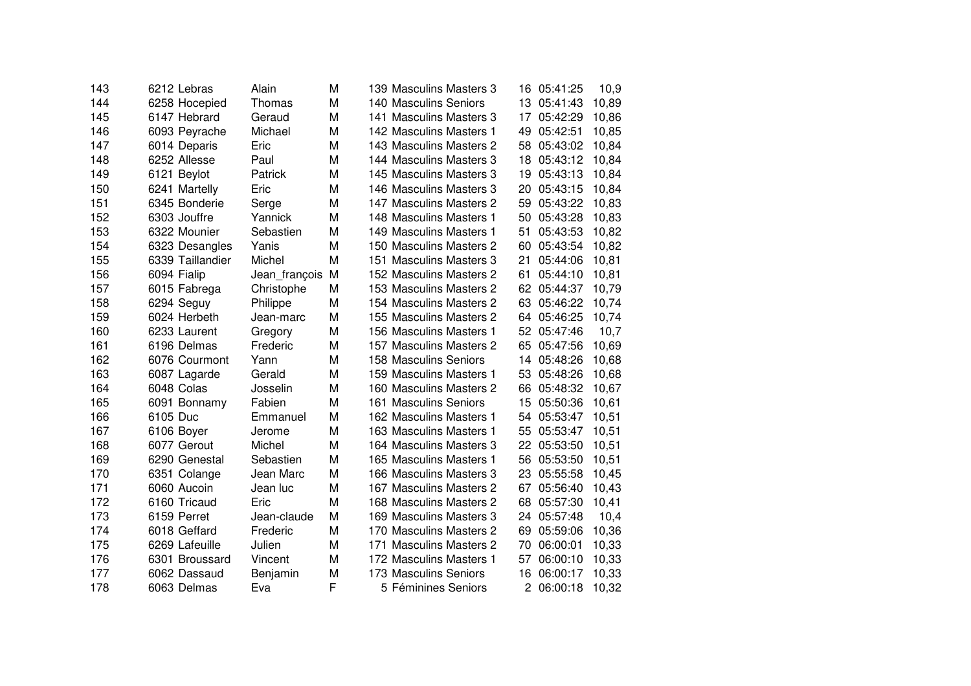| 143 | 6212 Lebras      | Alain         | М | 139 Masculins Masters 3 | 16.            | 05:41:25 | 10,9  |
|-----|------------------|---------------|---|-------------------------|----------------|----------|-------|
| 144 | 6258 Hocepied    | Thomas        | М | 140 Masculins Seniors   | 13             | 05:41:43 | 10,89 |
| 145 | 6147 Hebrard     | Geraud        | M | 141 Masculins Masters 3 | 17             | 05:42:29 | 10,86 |
| 146 | 6093 Peyrache    | Michael       | М | 142 Masculins Masters 1 | 49             | 05:42:51 | 10,85 |
| 147 | 6014 Deparis     | Eric          | M | 143 Masculins Masters 2 | 58             | 05:43:02 | 10,84 |
| 148 | 6252 Allesse     | Paul          | М | 144 Masculins Masters 3 | 18             | 05:43:12 | 10,84 |
| 149 | 6121 Beylot      | Patrick       | М | 145 Masculins Masters 3 | 19             | 05:43:13 | 10,84 |
| 150 | 6241 Martelly    | Eric          | М | 146 Masculins Masters 3 | 20             | 05:43:15 | 10,84 |
| 151 | 6345 Bonderie    | Serge         | M | 147 Masculins Masters 2 | 59             | 05:43:22 | 10,83 |
| 152 | 6303 Jouffre     | Yannick       | M | 148 Masculins Masters 1 | 50             | 05:43:28 | 10,83 |
| 153 | 6322 Mounier     | Sebastien     | M | 149 Masculins Masters 1 | 51             | 05:43:53 | 10,82 |
| 154 | 6323 Desangles   | Yanis         | М | 150 Masculins Masters 2 | 60             | 05:43:54 | 10,82 |
| 155 | 6339 Taillandier | Michel        | M | 151 Masculins Masters 3 | 21             | 05:44:06 | 10,81 |
| 156 | 6094 Fialip      | Jean_françois | М | 152 Masculins Masters 2 | 61             | 05:44:10 | 10,81 |
| 157 | 6015 Fabrega     | Christophe    | М | 153 Masculins Masters 2 | 62             | 05:44:37 | 10,79 |
| 158 | 6294 Seguy       | Philippe      | М | 154 Masculins Masters 2 | 63             | 05:46:22 | 10,74 |
| 159 | 6024 Herbeth     | Jean-marc     | M | 155 Masculins Masters 2 | 64             | 05:46:25 | 10,74 |
| 160 | 6233 Laurent     | Gregory       | М | 156 Masculins Masters 1 | 52             | 05:47:46 | 10,7  |
| 161 | 6196 Delmas      | Frederic      | М | 157 Masculins Masters 2 | 65             | 05:47:56 | 10,69 |
| 162 | 6076 Courmont    | Yann          | М | 158 Masculins Seniors   | 14             | 05:48:26 | 10,68 |
| 163 | 6087 Lagarde     | Gerald        | M | 159 Masculins Masters 1 | 53             | 05:48:26 | 10,68 |
| 164 | 6048 Colas       | Josselin      | M | 160 Masculins Masters 2 | 66             | 05:48:32 | 10,67 |
| 165 | 6091 Bonnamy     | Fabien        | M | 161 Masculins Seniors   | 15             | 05:50:36 | 10,61 |
| 166 | 6105 Duc         | Emmanuel      | М | 162 Masculins Masters 1 | 54             | 05:53:47 | 10,51 |
| 167 | 6106 Boyer       | Jerome        | M | 163 Masculins Masters 1 | 55             | 05:53:47 | 10,51 |
| 168 | 6077 Gerout      | Michel        | M | 164 Masculins Masters 3 | 22             | 05:53:50 | 10,51 |
| 169 | 6290 Genestal    | Sebastien     | М | 165 Masculins Masters 1 | 56             | 05:53:50 | 10,51 |
| 170 | 6351 Colange     | Jean Marc     | М | 166 Masculins Masters 3 | 23             | 05:55:58 | 10,45 |
| 171 | 6060 Aucoin      | Jean luc      | M | 167 Masculins Masters 2 | 67             | 05:56:40 | 10,43 |
| 172 | 6160 Tricaud     | Eric          | M | 168 Masculins Masters 2 | 68             | 05:57:30 | 10,41 |
| 173 | 6159 Perret      | Jean-claude   | М | 169 Masculins Masters 3 | 24             | 05:57:48 | 10,4  |
| 174 | 6018 Geffard     | Frederic      | М | 170 Masculins Masters 2 | 69             | 05:59:06 | 10,36 |
| 175 | 6269 Lafeuille   | Julien        | М | 171 Masculins Masters 2 | 70             | 06:00:01 | 10,33 |
| 176 | 6301 Broussard   | Vincent       | M | 172 Masculins Masters 1 | 57             | 06:00:10 | 10,33 |
| 177 | 6062 Dassaud     | Benjamin      | М | 173 Masculins Seniors   | 16             | 06:00:17 | 10,33 |
| 178 | 6063 Delmas      | Eva           | F | 5 Féminines Seniors     | $\overline{2}$ | 06:00:18 | 10,32 |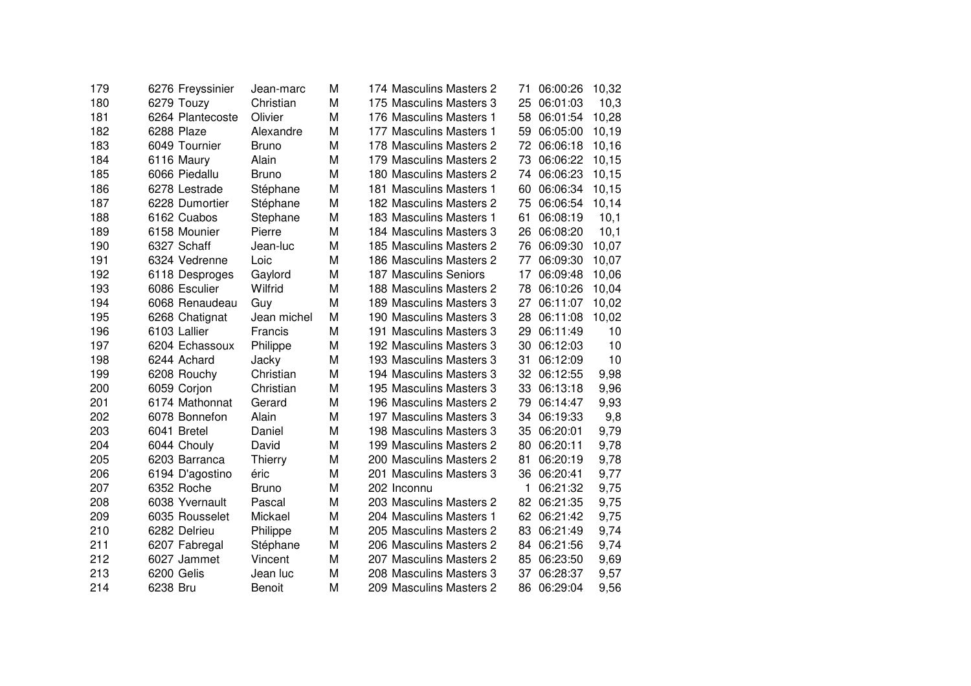| 179 | 6276 Freyssinier | Jean-marc      | М | 174 Masculins Masters 2 | 71 | 06:00:26 | 10,32 |
|-----|------------------|----------------|---|-------------------------|----|----------|-------|
| 180 | 6279 Touzy       | Christian      | М | 175 Masculins Masters 3 | 25 | 06:01:03 | 10,3  |
| 181 | 6264 Plantecoste | Olivier        | M | 176 Masculins Masters 1 | 58 | 06:01:54 | 10,28 |
| 182 | 6288 Plaze       | Alexandre      | М | 177 Masculins Masters 1 | 59 | 06:05:00 | 10,19 |
| 183 | 6049 Tournier    | <b>Bruno</b>   | М | 178 Masculins Masters 2 | 72 | 06:06:18 | 10,16 |
| 184 | 6116 Maury       | Alain          | М | 179 Masculins Masters 2 | 73 | 06:06:22 | 10,15 |
| 185 | 6066 Piedallu    | <b>Bruno</b>   | М | 180 Masculins Masters 2 | 74 | 06:06:23 | 10,15 |
| 186 | 6278 Lestrade    | Stéphane       | М | 181 Masculins Masters 1 | 60 | 06:06:34 | 10,15 |
| 187 | 6228 Dumortier   | Stéphane       | М | 182 Masculins Masters 2 | 75 | 06:06:54 | 10,14 |
| 188 | 6162 Cuabos      | Stephane       | M | 183 Masculins Masters 1 | 61 | 06:08:19 | 10,1  |
| 189 | 6158 Mounier     | Pierre         | М | 184 Masculins Masters 3 | 26 | 06:08:20 | 10,1  |
| 190 | 6327 Schaff      | Jean-luc       | М | 185 Masculins Masters 2 | 76 | 06:09:30 | 10,07 |
| 191 | 6324 Vedrenne    | Loic           | М | 186 Masculins Masters 2 | 77 | 06:09:30 | 10,07 |
| 192 | 6118 Desproges   | Gaylord        | M | 187 Masculins Seniors   | 17 | 06:09:48 | 10,06 |
| 193 | 6086 Esculier    | Wilfrid        | M | 188 Masculins Masters 2 | 78 | 06:10:26 | 10,04 |
| 194 | 6068 Renaudeau   | Guy            | M | 189 Masculins Masters 3 | 27 | 06:11:07 | 10,02 |
| 195 | 6268 Chatignat   | Jean michel    | М | 190 Masculins Masters 3 | 28 | 06:11:08 | 10,02 |
| 196 | 6103 Lallier     | Francis        | М | 191 Masculins Masters 3 | 29 | 06:11:49 | 10    |
| 197 | 6204 Echassoux   | Philippe       | М | 192 Masculins Masters 3 | 30 | 06:12:03 | 10    |
| 198 | 6244 Achard      | Jacky          | М | 193 Masculins Masters 3 | 31 | 06:12:09 | 10    |
| 199 | 6208 Rouchy      | Christian      | M | 194 Masculins Masters 3 | 32 | 06:12:55 | 9,98  |
| 200 | 6059 Corjon      | Christian      | М | 195 Masculins Masters 3 | 33 | 06:13:18 | 9,96  |
| 201 | 6174 Mathonnat   | Gerard         | М | 196 Masculins Masters 2 | 79 | 06:14:47 | 9,93  |
| 202 | 6078 Bonnefon    | Alain          | M | 197 Masculins Masters 3 | 34 | 06:19:33 | 9,8   |
| 203 | 6041 Bretel      | Daniel         | М | 198 Masculins Masters 3 | 35 | 06:20:01 | 9,79  |
| 204 | 6044 Chouly      | David          | М | 199 Masculins Masters 2 | 80 | 06:20:11 | 9,78  |
| 205 | 6203 Barranca    | <b>Thierry</b> | М | 200 Masculins Masters 2 | 81 | 06:20:19 | 9,78  |
| 206 | 6194 D'agostino  | éric           | M | 201 Masculins Masters 3 | 36 | 06:20:41 | 9,77  |
| 207 | 6352 Roche       | <b>Bruno</b>   | M | 202 Inconnu             | 1  | 06:21:32 | 9,75  |
| 208 | 6038 Yvernault   | Pascal         | М | 203 Masculins Masters 2 | 82 | 06:21:35 | 9,75  |
| 209 | 6035 Rousselet   | Mickael        | М | 204 Masculins Masters 1 | 62 | 06:21:42 | 9,75  |
| 210 | 6282 Delrieu     | Philippe       | М | 205 Masculins Masters 2 | 83 | 06:21:49 | 9,74  |
| 211 | 6207 Fabregal    | Stéphane       | М | 206 Masculins Masters 2 | 84 | 06:21:56 | 9,74  |
| 212 | 6027 Jammet      | Vincent        | М | 207 Masculins Masters 2 | 85 | 06:23:50 | 9,69  |
| 213 | 6200 Gelis       | Jean luc       | М | 208 Masculins Masters 3 | 37 | 06:28:37 | 9,57  |
| 214 | 6238 Bru         | <b>Benoit</b>  | М | 209 Masculins Masters 2 | 86 | 06:29:04 | 9,56  |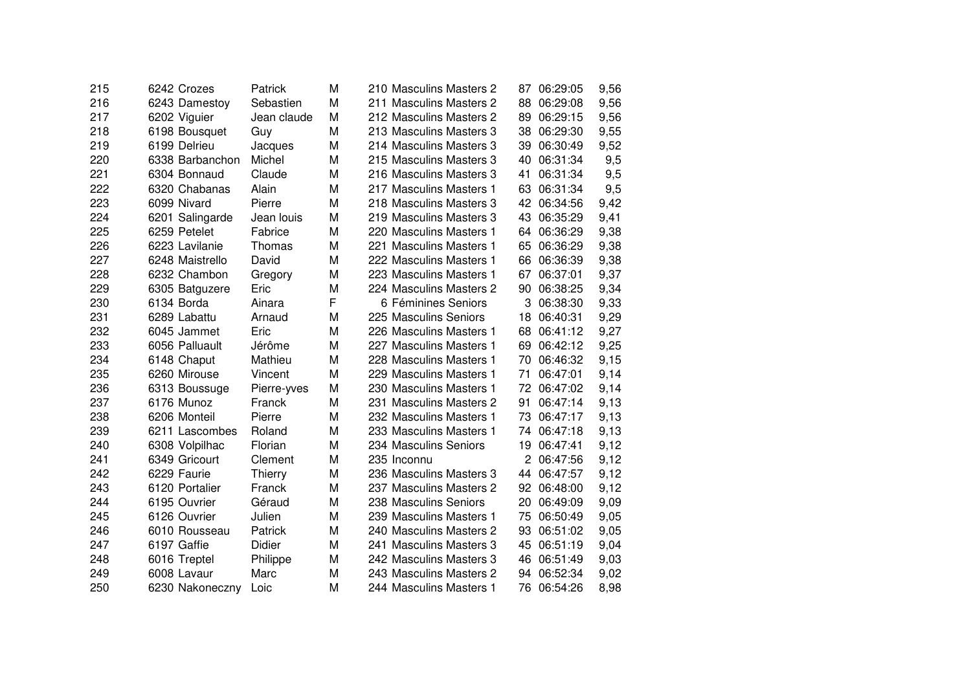| 215 | 6242 Crozes     | Patrick     | М | 210 Masculins Masters 2 | 87             | 06:29:05 | 9,56 |
|-----|-----------------|-------------|---|-------------------------|----------------|----------|------|
| 216 | 6243 Damestoy   | Sebastien   | M | 211 Masculins Masters 2 | 88             | 06:29:08 | 9,56 |
| 217 | 6202 Viguier    | Jean claude | М | 212 Masculins Masters 2 | 89             | 06:29:15 | 9,56 |
| 218 | 6198 Bousquet   | Guy         | M | 213 Masculins Masters 3 | 38             | 06:29:30 | 9,55 |
| 219 | 6199 Delrieu    | Jacques     | M | 214 Masculins Masters 3 | 39             | 06:30:49 | 9,52 |
| 220 | 6338 Barbanchon | Michel      | M | 215 Masculins Masters 3 | 40             | 06:31:34 | 9,5  |
| 221 | 6304 Bonnaud    | Claude      | M | 216 Masculins Masters 3 | 41             | 06:31:34 | 9,5  |
| 222 | 6320 Chabanas   | Alain       | M | 217 Masculins Masters 1 | 63             | 06:31:34 | 9,5  |
| 223 | 6099 Nivard     | Pierre      | M | 218 Masculins Masters 3 | 42             | 06:34:56 | 9,42 |
| 224 | 6201 Salingarde | Jean louis  | M | 219 Masculins Masters 3 | 43             | 06:35:29 | 9,41 |
| 225 | 6259 Petelet    | Fabrice     | M | 220 Masculins Masters 1 | 64             | 06:36:29 | 9,38 |
| 226 | 6223 Lavilanie  | Thomas      | M | 221 Masculins Masters 1 | 65             | 06:36:29 | 9,38 |
| 227 | 6248 Maistrello | David       | M | 222 Masculins Masters 1 | 66             | 06:36:39 | 9,38 |
| 228 | 6232 Chambon    | Gregory     | M | 223 Masculins Masters 1 | 67             | 06:37:01 | 9,37 |
| 229 | 6305 Batguzere  | Eric        | M | 224 Masculins Masters 2 | 90             | 06:38:25 | 9,34 |
| 230 | 6134 Borda      | Ainara      | F | 6 Féminines Seniors     | 3              | 06:38:30 | 9,33 |
| 231 | 6289 Labattu    | Arnaud      | M | 225 Masculins Seniors   | 18             | 06:40:31 | 9,29 |
| 232 | 6045 Jammet     | Eric        | M | 226 Masculins Masters 1 | 68             | 06:41:12 | 9,27 |
| 233 | 6056 Palluault  | Jérôme      | M | 227 Masculins Masters 1 | 69             | 06:42:12 | 9,25 |
| 234 | 6148 Chaput     | Mathieu     | M | 228 Masculins Masters 1 | 70             | 06:46:32 | 9,15 |
| 235 | 6260 Mirouse    | Vincent     | M | 229 Masculins Masters 1 | 71             | 06:47:01 | 9,14 |
| 236 | 6313 Boussuge   | Pierre-yves | M | 230 Masculins Masters 1 | 72             | 06:47:02 | 9,14 |
| 237 | 6176 Munoz      | Franck      | M | 231 Masculins Masters 2 | 91             | 06:47:14 | 9,13 |
| 238 | 6206 Monteil    | Pierre      | M | 232 Masculins Masters 1 | 73             | 06:47:17 | 9,13 |
| 239 | 6211 Lascombes  | Roland      | M | 233 Masculins Masters 1 | 74             | 06:47:18 | 9,13 |
| 240 | 6308 Volpilhac  | Florian     | M | 234 Masculins Seniors   | 19             | 06:47:41 | 9,12 |
| 241 | 6349 Gricourt   | Clement     | M | 235 Inconnu             | $\overline{2}$ | 06:47:56 | 9,12 |
| 242 | 6229 Faurie     | Thierry     | M | 236 Masculins Masters 3 | 44             | 06:47:57 | 9,12 |
| 243 | 6120 Portalier  | Franck      | M | 237 Masculins Masters 2 | 92             | 06:48:00 | 9,12 |
| 244 | 6195 Ouvrier    | Géraud      | M | 238 Masculins Seniors   | 20             | 06:49:09 | 9,09 |
| 245 | 6126 Ouvrier    | Julien      | M | 239 Masculins Masters 1 | 75             | 06:50:49 | 9,05 |
| 246 | 6010 Rousseau   | Patrick     | M | 240 Masculins Masters 2 | 93             | 06:51:02 | 9,05 |
| 247 | 6197 Gaffie     | Didier      | M | 241 Masculins Masters 3 | 45             | 06:51:19 | 9,04 |
| 248 | 6016 Treptel    | Philippe    | М | 242 Masculins Masters 3 | 46             | 06:51:49 | 9,03 |
| 249 | 6008 Lavaur     | Marc        | M | 243 Masculins Masters 2 | 94             | 06:52:34 | 9,02 |
| 250 | 6230 Nakoneczny | Loic        | M | 244 Masculins Masters 1 | 76             | 06:54:26 | 8,98 |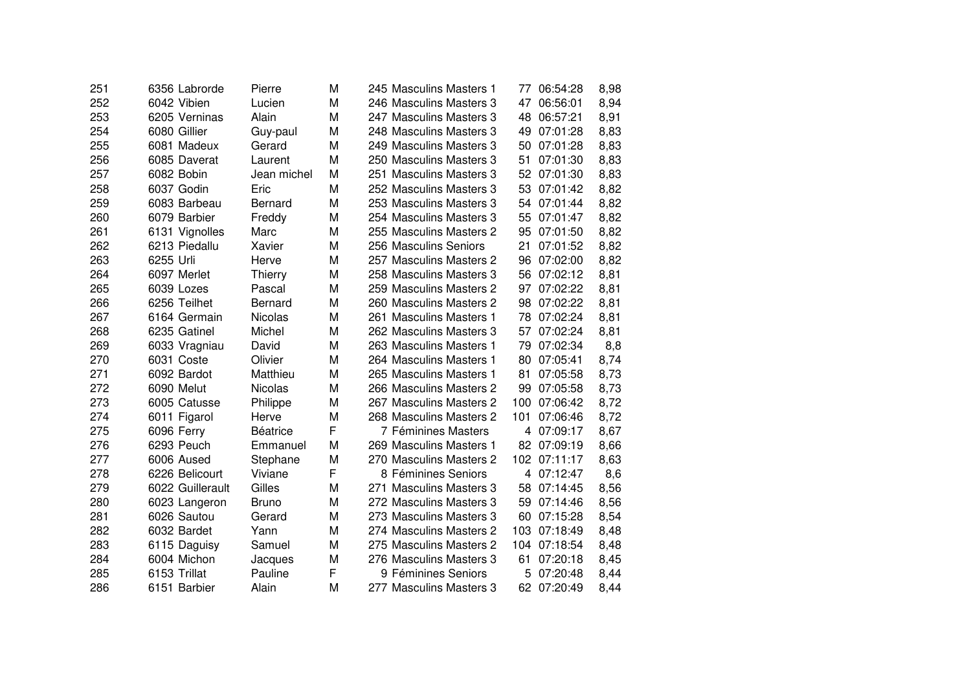| 251 | 6356 Labrorde    | Pierre          | М | 245 Masculins Masters 1 | 77  | 06:54:28    | 8,98 |
|-----|------------------|-----------------|---|-------------------------|-----|-------------|------|
| 252 | 6042 Vibien      | Lucien          | М | 246 Masculins Masters 3 | 47  | 06:56:01    | 8,94 |
| 253 | 6205 Verninas    | Alain           | M | 247 Masculins Masters 3 | 48  | 06:57:21    | 8,91 |
| 254 | 6080 Gillier     | Guy-paul        | M | 248 Masculins Masters 3 | 49  | 07:01:28    | 8,83 |
| 255 | 6081 Madeux      | Gerard          | M | 249 Masculins Masters 3 | 50  | 07:01:28    | 8,83 |
| 256 | 6085 Daverat     | Laurent         | M | 250 Masculins Masters 3 | 51  | 07:01:30    | 8,83 |
| 257 | 6082 Bobin       | Jean michel     | М | 251 Masculins Masters 3 | 52  | 07:01:30    | 8,83 |
| 258 | 6037 Godin       | Eric            | M | 252 Masculins Masters 3 | 53  | 07:01:42    | 8,82 |
| 259 | 6083 Barbeau     | <b>Bernard</b>  | M | 253 Masculins Masters 3 | 54  | 07:01:44    | 8,82 |
| 260 | 6079 Barbier     | Freddy          | M | 254 Masculins Masters 3 |     | 55 07:01:47 | 8,82 |
| 261 | 6131 Vignolles   | Marc            | M | 255 Masculins Masters 2 | 95  | 07:01:50    | 8,82 |
| 262 | 6213 Piedallu    | Xavier          | M | 256 Masculins Seniors   | 21  | 07:01:52    | 8,82 |
| 263 | 6255 Urli        | Herve           | M | 257 Masculins Masters 2 | 96  | 07:02:00    | 8,82 |
| 264 | 6097 Merlet      | <b>Thierry</b>  | M | 258 Masculins Masters 3 | 56  | 07:02:12    | 8,81 |
| 265 | 6039 Lozes       | Pascal          | M | 259 Masculins Masters 2 | 97  | 07:02:22    | 8,81 |
| 266 | 6256 Teilhet     | <b>Bernard</b>  | M | 260 Masculins Masters 2 | 98  | 07:02:22    | 8,81 |
| 267 | 6164 Germain     | <b>Nicolas</b>  | M | 261 Masculins Masters 1 | 78  | 07:02:24    | 8,81 |
| 268 | 6235 Gatinel     | Michel          | M | 262 Masculins Masters 3 | 57  | 07:02:24    | 8,81 |
| 269 | 6033 Vragniau    | David           | M | 263 Masculins Masters 1 | 79  | 07:02:34    | 8,8  |
| 270 | 6031 Coste       | Olivier         | M | 264 Masculins Masters 1 | 80  | 07:05:41    | 8,74 |
| 271 | 6092 Bardot      | Matthieu        | M | 265 Masculins Masters 1 | 81  | 07:05:58    | 8,73 |
| 272 | 6090 Melut       | <b>Nicolas</b>  | М | 266 Masculins Masters 2 | 99  | 07:05:58    | 8,73 |
| 273 | 6005 Catusse     | Philippe        | M | 267 Masculins Masters 2 | 100 | 07:06:42    | 8,72 |
| 274 | 6011 Figarol     | Herve           | M | 268 Masculins Masters 2 | 101 | 07:06:46    | 8,72 |
| 275 | 6096 Ferry       | <b>Béatrice</b> | F | 7 Féminines Masters     | 4   | 07:09:17    | 8,67 |
| 276 | 6293 Peuch       | Emmanuel        | М | 269 Masculins Masters 1 | 82  | 07:09:19    | 8,66 |
| 277 | 6006 Aused       | Stephane        | M | 270 Masculins Masters 2 | 102 | 07:11:17    | 8,63 |
| 278 | 6226 Belicourt   | Viviane         | F | 8 Féminines Seniors     | 4   | 07:12:47    | 8,6  |
| 279 | 6022 Guillerault | Gilles          | M | 271 Masculins Masters 3 | 58  | 07:14:45    | 8,56 |
| 280 | 6023 Langeron    | <b>Bruno</b>    | M | 272 Masculins Masters 3 | 59  | 07:14:46    | 8,56 |
| 281 | 6026 Sautou      | Gerard          | M | 273 Masculins Masters 3 | 60  | 07:15:28    | 8,54 |
| 282 | 6032 Bardet      | Yann            | M | 274 Masculins Masters 2 | 103 | 07:18:49    | 8,48 |
| 283 | 6115 Daguisy     | Samuel          | М | 275 Masculins Masters 2 | 104 | 07:18:54    | 8,48 |
| 284 | 6004 Michon      | Jacques         | M | 276 Masculins Masters 3 | 61  | 07:20:18    | 8,45 |
| 285 | 6153 Trillat     | Pauline         | F | 9 Féminines Seniors     | 5   | 07:20:48    | 8,44 |
| 286 | 6151 Barbier     | Alain           | M | 277 Masculins Masters 3 | 62  | 07:20:49    | 8,44 |